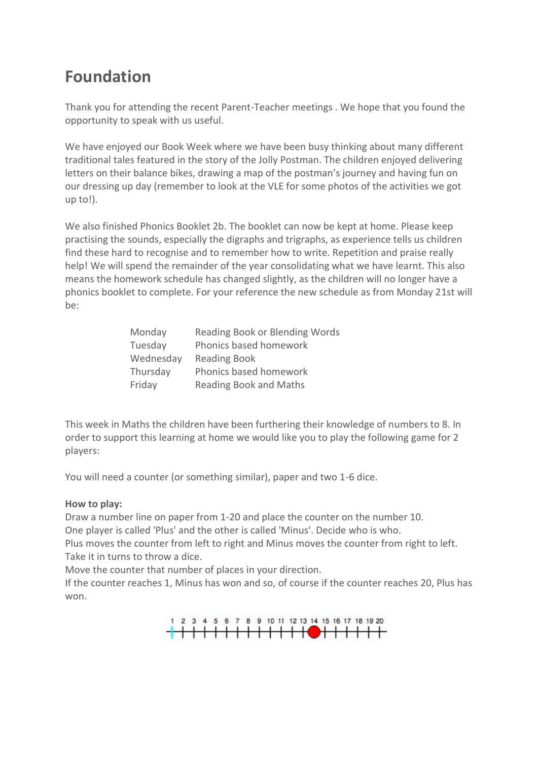## **Foundation**

Thank you for attending the recent Parent-Teacher meetings . We hope that you found the opportunity to speak with us useful.

We have enjoyed our Book Week where we have been busy thinking about many different traditional tales featured in the story of the Jolly Postman. The children enjoyed delivering letters on their balance bikes, drawing a map of the postman's journey and having fun on our dressing up day (remember to look at the VLE for some photos of the activities we got up to!).

We also finished Phonics Booklet 2b. The booklet can now be kept at home. Please keep practising the sounds, especially the digraphs and trigraphs, as experience tells us children find these hard to recognise and to remember how to write. Repetition and praise really help! We will spend the remainder of the year consolidating what we have learnt. This also means the homework schedule has changed slightly, as the children will no longer have a phonics booklet to complete. For your reference the new schedule as from Monday 21st will be:

| Monday    | Reading Book or Blending Words |
|-----------|--------------------------------|
| Tuesday   | Phonics based homework         |
| Wednesday | <b>Reading Book</b>            |
| Thursday  | Phonics based homework         |
| Friday    | <b>Reading Book and Maths</b>  |

This week in Maths the children have been furthering their knowledge of numbers to 8. In order to support this learning at home we would like you to play the following game for 2 players:

You will need a counter (or something similar), paper and two 1-6 dice.

## **How to play:**

Draw a number line on paper from 1-20 and place the counter on the number 10.

One player is called 'Plus' and the other is called 'Minus'. Decide who is who.

Plus moves the counter from left to right and Minus moves the counter from right to left. Take it in turns to throw a dice.

Move the counter that number of places in your direction.

If the counter reaches 1, Minus has won and so, of course if the counter reaches 20, Plus has won.